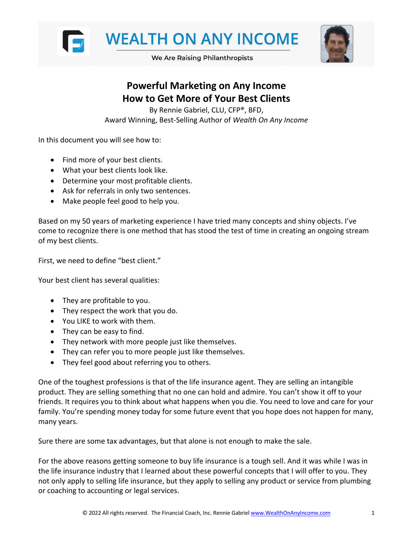



We Are Raising Philanthropists

# **Powerful Marketing on Any Income How to Get More of Your Best Clients**

By Rennie Gabriel, CLU, CFP®, BFD, Award Winning, Best-Selling Author of *Wealth On Any Income*

In this document you will see how to:

- Find more of your best clients.
- What your best clients look like.
- Determine your most profitable clients.
- Ask for referrals in only two sentences.
- Make people feel good to help you.

Based on my 50 years of marketing experience I have tried many concepts and shiny objects. I've come to recognize there is one method that has stood the test of time in creating an ongoing stream of my best clients.

First, we need to define "best client."

Your best client has several qualities:

- They are profitable to you.
- They respect the work that you do.
- You LIKE to work with them.
- They can be easy to find.
- They network with more people just like themselves.
- They can refer you to more people just like themselves.
- They feel good about referring you to others.

One of the toughest professions is that of the life insurance agent. They are selling an intangible product. They are selling something that no one can hold and admire. You can't show it off to your friends. It requires you to think about what happens when you die. You need to love and care for your family. You're spending money today for some future event that you hope does not happen for many, many years.

Sure there are some tax advantages, but that alone is not enough to make the sale.

For the above reasons getting someone to buy life insurance is a tough sell. And it was while I was in the life insurance industry that I learned about these powerful concepts that I will offer to you. They not only apply to selling life insurance, but they apply to selling any product or service from plumbing or coaching to accounting or legal services.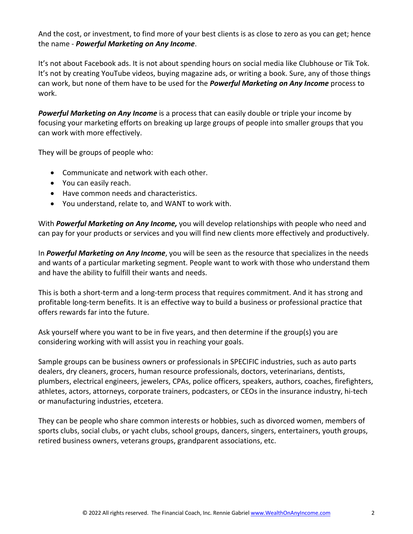And the cost, or investment, to find more of your best clients is as close to zero as you can get; hence the name - *Powerful Marketing on Any Income*.

It's not about Facebook ads. It is not about spending hours on social media like Clubhouse or Tik Tok. It's not by creating YouTube videos, buying magazine ads, or writing a book. Sure, any of those things can work, but none of them have to be used for the *Powerful Marketing on Any Income* process to work.

*Powerful Marketing on Any Income* is a process that can easily double or triple your income by focusing your marketing efforts on breaking up large groups of people into smaller groups that you can work with more effectively.

They will be groups of people who:

- Communicate and network with each other.
- You can easily reach.
- Have common needs and characteristics.
- You understand, relate to, and WANT to work with.

With *Powerful Marketing on Any Income,* you will develop relationships with people who need and can pay for your products or services and you will find new clients more effectively and productively.

In *Powerful Marketing on Any Income*, you will be seen as the resource that specializes in the needs and wants of a particular marketing segment. People want to work with those who understand them and have the ability to fulfill their wants and needs.

This is both a short-term and a long-term process that requires commitment. And it has strong and profitable long-term benefits. It is an effective way to build a business or professional practice that offers rewards far into the future.

Ask yourself where you want to be in five years, and then determine if the group(s) you are considering working with will assist you in reaching your goals.

Sample groups can be business owners or professionals in SPECIFIC industries, such as auto parts dealers, dry cleaners, grocers, human resource professionals, doctors, veterinarians, dentists, plumbers, electrical engineers, jewelers, CPAs, police officers, speakers, authors, coaches, firefighters, athletes, actors, attorneys, corporate trainers, podcasters, or CEOs in the insurance industry, hi-tech or manufacturing industries, etcetera.

They can be people who share common interests or hobbies, such as divorced women, members of sports clubs, social clubs, or yacht clubs, school groups, dancers, singers, entertainers, youth groups, retired business owners, veterans groups, grandparent associations, etc.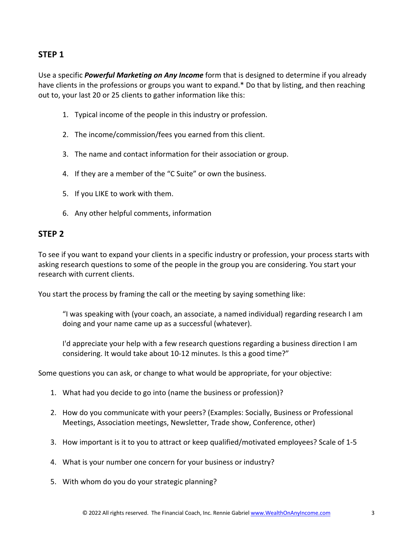# **STEP 1**

Use a specific *Powerful Marketing on Any Income* form that is designed to determine if you already have clients in the professions or groups you want to expand.\* Do that by listing, and then reaching out to, your last 20 or 25 clients to gather information like this:

- 1. Typical income of the people in this industry or profession.
- 2. The income/commission/fees you earned from this client.
- 3. The name and contact information for their association or group.
- 4. If they are a member of the "C Suite" or own the business.
- 5. If you LIKE to work with them.
- 6. Any other helpful comments, information

## **STEP 2**

To see if you want to expand your clients in a specific industry or profession, your process starts with asking research questions to some of the people in the group you are considering. You start your research with current clients.

You start the process by framing the call or the meeting by saying something like:

"I was speaking with (your coach, an associate, a named individual) regarding research I am doing and your name came up as a successful (whatever).

I'd appreciate your help with a few research questions regarding a business direction I am considering. It would take about 10-12 minutes. Is this a good time?"

Some questions you can ask, or change to what would be appropriate, for your objective:

- 1. What had you decide to go into (name the business or profession)?
- 2. How do you communicate with your peers? (Examples: Socially, Business or Professional Meetings, Association meetings, Newsletter, Trade show, Conference, other)
- 3. How important is it to you to attract or keep qualified/motivated employees? Scale of 1-5
- 4. What is your number one concern for your business or industry?
- 5. With whom do you do your strategic planning?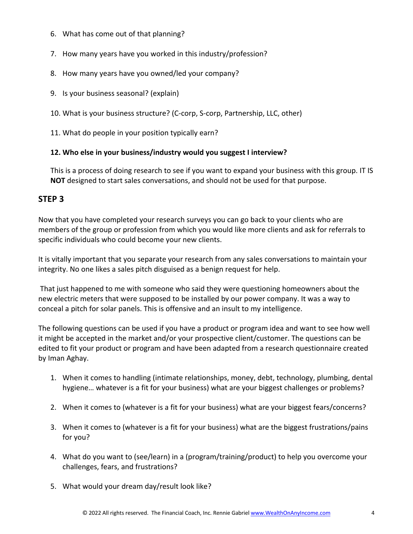- 6. What has come out of that planning?
- 7. How many years have you worked in this industry/profession?
- 8. How many years have you owned/led your company?
- 9. Is your business seasonal? (explain)
- 10. What is your business structure? (C-corp, S-corp, Partnership, LLC, other)
- 11. What do people in your position typically earn?

## **12. Who else in your business/industry would you suggest I interview?**

This is a process of doing research to see if you want to expand your business with this group. IT IS **NOT** designed to start sales conversations, and should not be used for that purpose.

# **STEP 3**

Now that you have completed your research surveys you can go back to your clients who are members of the group or profession from which you would like more clients and ask for referrals to specific individuals who could become your new clients.

It is vitally important that you separate your research from any sales conversations to maintain your integrity. No one likes a sales pitch disguised as a benign request for help.

That just happened to me with someone who said they were questioning homeowners about the new electric meters that were supposed to be installed by our power company. It was a way to conceal a pitch for solar panels. This is offensive and an insult to my intelligence.

The following questions can be used if you have a product or program idea and want to see how well it might be accepted in the market and/or your prospective client/customer. The questions can be edited to fit your product or program and have been adapted from a research questionnaire created by Iman Aghay.

- 1. When it comes to handling (intimate relationships, money, debt, technology, plumbing, dental hygiene… whatever is a fit for your business) what are your biggest challenges or problems?
- 2. When it comes to (whatever is a fit for your business) what are your biggest fears/concerns?
- 3. When it comes to (whatever is a fit for your business) what are the biggest frustrations/pains for you?
- 4. What do you want to (see/learn) in a (program/training/product) to help you overcome your challenges, fears, and frustrations?
- 5. What would your dream day/result look like?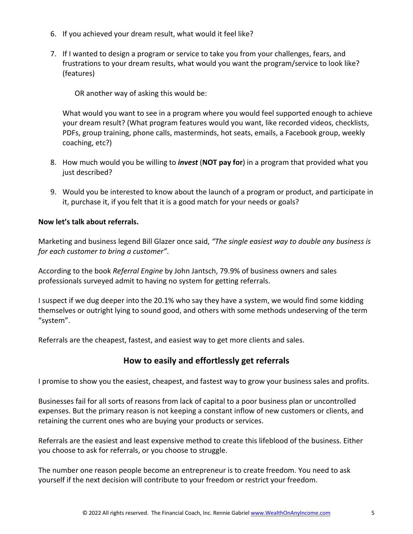- 6. If you achieved your dream result, what would it feel like?
- 7. If I wanted to design a program or service to take you from your challenges, fears, and frustrations to your dream results, what would you want the program/service to look like? (features)

OR another way of asking this would be:

What would you want to see in a program where you would feel supported enough to achieve your dream result? (What program features would you want, like recorded videos, checklists, PDFs, group training, phone calls, masterminds, hot seats, emails, a Facebook group, weekly coaching, etc?)

- 8. How much would you be willing to *invest* (**NOT pay for**) in a program that provided what you just described?
- 9. Would you be interested to know about the launch of a program or product, and participate in it, purchase it, if you felt that it is a good match for your needs or goals?

#### **Now let's talk about referrals.**

Marketing and business legend Bill Glazer once said, *"The single easiest way to double any business is for each customer to bring a customer"*.

According to the book *Referral Engine* by John Jantsch, 79.9% of business owners and sales professionals surveyed admit to having no system for getting referrals.

I suspect if we dug deeper into the 20.1% who say they have a system, we would find some kidding themselves or outright lying to sound good, and others with some methods undeserving of the term "system".

Referrals are the cheapest, fastest, and easiest way to get more clients and sales.

# **How to easily and effortlessly get referrals**

I promise to show you the easiest, cheapest, and fastest way to grow your business sales and profits.

Businesses fail for all sorts of reasons from lack of capital to a poor business plan or uncontrolled expenses. But the primary reason is not keeping a constant inflow of new customers or clients, and retaining the current ones who are buying your products or services.

Referrals are the easiest and least expensive method to create this lifeblood of the business. Either you choose to ask for referrals, or you choose to struggle.

The number one reason people become an entrepreneur is to create freedom. You need to ask yourself if the next decision will contribute to your freedom or restrict your freedom.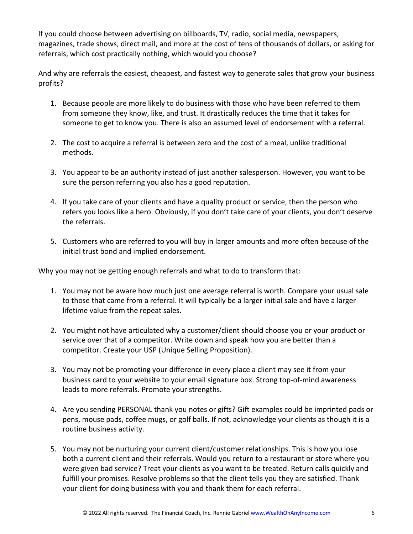If you could choose between advertising on billboards, TV, radio, social media, newspapers, magazines, trade shows, direct mail, and more at the cost of tens of thousands of dollars, or asking for referrals, which cost practically nothing, which would you choose?

And why are referrals the easiest, cheapest, and fastest way to generate sales that grow your business profits?

- 1. Because people are more likely to do business with those who have been referred to them from someone they know, like, and trust. It drastically reduces the time that it takes for someone to get to know you. There is also an assumed level of endorsement with a referral.
- 2. The cost to acquire a referral is between zero and the cost of a meal, unlike traditional methods.
- 3. You appear to be an authority instead of just another salesperson. However, you want to be sure the person referring you also has a good reputation.
- 4. If you take care of your clients and have a quality product or service, then the person who refers you looks like a hero. Obviously, if you don't take care of your clients, you don't deserve the referrals.
- 5. Customers who are referred to you will buy in larger amounts and more often because of the initial trust bond and implied endorsement.

Why you may not be getting enough referrals and what to do to transform that:

- 1. You may not be aware how much just one average referral is worth. Compare your usual sale to those that came from a referral. It will typically be a larger initial sale and have a larger lifetime value from the repeat sales.
- 2. You might not have articulated why a customer/client should choose you or your product or service over that of a competitor. Write down and speak how you are better than a competitor. Create your USP (Unique Selling Proposition).
- 3. You may not be promoting your difference in every place a client may see it from your business card to your website to your email signature box. Strong top-of-mind awareness leads to more referrals. Promote your strengths.
- 4. Are you sending PERSONAL thank you notes or gifts? Gift examples could be imprinted pads or pens, mouse pads, coffee mugs, or golf balls. If not, acknowledge your clients as though it is a routine business activity.
- 5. You may not be nurturing your current client/customer relationships. This is how you lose both a current client and their referrals. Would you return to a restaurant or store where you were given bad service? Treat your clients as you want to be treated. Return calls quickly and fulfill your promises. Resolve problems so that the client tells you they are satisfied. Thank your client for doing business with you and thank them for each referral.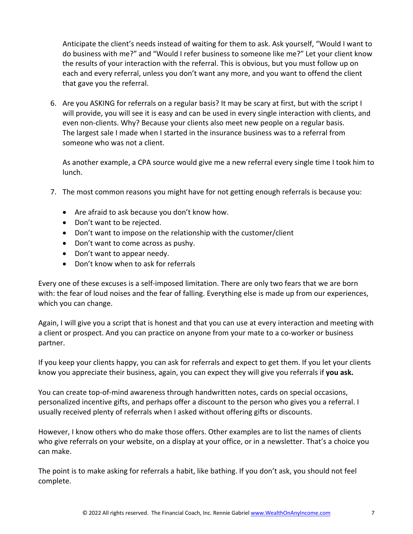Anticipate the client's needs instead of waiting for them to ask. Ask yourself, "Would I want to do business with me?" and "Would I refer business to someone like me?" Let your client know the results of your interaction with the referral. This is obvious, but you must follow up on each and every referral, unless you don't want any more, and you want to offend the client that gave you the referral.

6. Are you ASKING for referrals on a regular basis? It may be scary at first, but with the script I will provide, you will see it is easy and can be used in every single interaction with clients, and even non-clients. Why? Because your clients also meet new people on a regular basis. The largest sale I made when I started in the insurance business was to a referral from someone who was not a client.

As another example, a CPA source would give me a new referral every single time I took him to lunch.

- 7. The most common reasons you might have for not getting enough referrals is because you:
	- Are afraid to ask because you don't know how.
	- Don't want to be rejected.
	- Don't want to impose on the relationship with the customer/client
	- Don't want to come across as pushy.
	- Don't want to appear needy.
	- Don't know when to ask for referrals

Every one of these excuses is a self-imposed limitation. There are only two fears that we are born with: the fear of loud noises and the fear of falling. Everything else is made up from our experiences, which you can change.

Again, I will give you a script that is honest and that you can use at every interaction and meeting with a client or prospect. And you can practice on anyone from your mate to a co-worker or business partner.

If you keep your clients happy, you can ask for referrals and expect to get them. If you let your clients know you appreciate their business, again, you can expect they will give you referrals if **you ask.**

You can create top-of-mind awareness through handwritten notes, cards on special occasions, personalized incentive gifts, and perhaps offer a discount to the person who gives you a referral. I usually received plenty of referrals when I asked without offering gifts or discounts.

However, I know others who do make those offers. Other examples are to list the names of clients who give referrals on your website, on a display at your office, or in a newsletter. That's a choice you can make.

The point is to make asking for referrals a habit, like bathing. If you don't ask, you should not feel complete.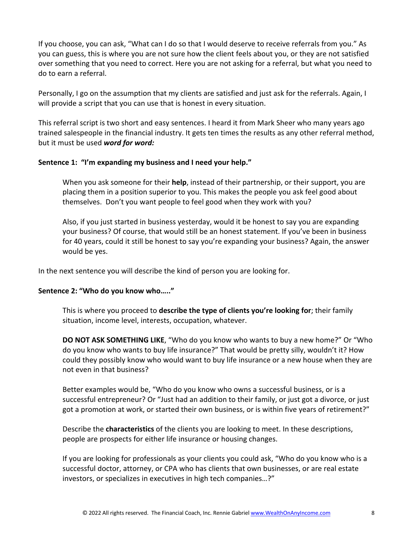If you choose, you can ask, "What can I do so that I would deserve to receive referrals from you." As you can guess, this is where you are not sure how the client feels about you, or they are not satisfied over something that you need to correct. Here you are not asking for a referral, but what you need to do to earn a referral.

Personally, I go on the assumption that my clients are satisfied and just ask for the referrals. Again, I will provide a script that you can use that is honest in every situation.

This referral script is two short and easy sentences. I heard it from Mark Sheer who many years ago trained salespeople in the financial industry. It gets ten times the results as any other referral method, but it must be used *word for word:*

#### **Sentence 1: "I'm expanding my business and I need your help."**

When you ask someone for their **help**, instead of their partnership, or their support, you are placing them in a position superior to you. This makes the people you ask feel good about themselves. Don't you want people to feel good when they work with you?

Also, if you just started in business yesterday, would it be honest to say you are expanding your business? Of course, that would still be an honest statement. If you've been in business for 40 years, could it still be honest to say you're expanding your business? Again, the answer would be yes.

In the next sentence you will describe the kind of person you are looking for.

## **Sentence 2: "Who do you know who….."**

This is where you proceed to **describe the type of clients you're looking for**; their family situation, income level, interests, occupation, whatever.

**DO NOT ASK SOMETHING LIKE**, "Who do you know who wants to buy a new home?" Or "Who do you know who wants to buy life insurance?" That would be pretty silly, wouldn't it? How could they possibly know who would want to buy life insurance or a new house when they are not even in that business?

Better examples would be, "Who do you know who owns a successful business, or is a successful entrepreneur? Or "Just had an addition to their family, or just got a divorce, or just got a promotion at work, or started their own business, or is within five years of retirement?"

Describe the **characteristics** of the clients you are looking to meet. In these descriptions, people are prospects for either life insurance or housing changes.

If you are looking for professionals as your clients you could ask, "Who do you know who is a successful doctor, attorney, or CPA who has clients that own businesses, or are real estate investors, or specializes in executives in high tech companies…?"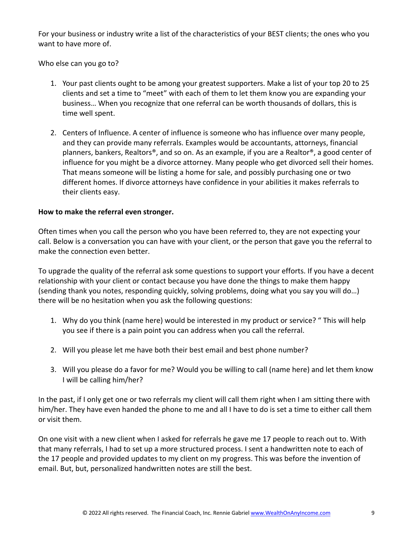For your business or industry write a list of the characteristics of your BEST clients; the ones who you want to have more of.

Who else can you go to?

- 1. Your past clients ought to be among your greatest supporters. Make a list of your top 20 to 25 clients and set a time to "meet" with each of them to let them know you are expanding your business… When you recognize that one referral can be worth thousands of dollars, this is time well spent.
- 2. Centers of Influence. A center of influence is someone who has influence over many people, and they can provide many referrals. Examples would be accountants, attorneys, financial planners, bankers, Realtors®, and so on. As an example, if you are a Realtor®, a good center of influence for you might be a divorce attorney. Many people who get divorced sell their homes. That means someone will be listing a home for sale, and possibly purchasing one or two different homes. If divorce attorneys have confidence in your abilities it makes referrals to their clients easy.

#### **How to make the referral even stronger.**

Often times when you call the person who you have been referred to, they are not expecting your call. Below is a conversation you can have with your client, or the person that gave you the referral to make the connection even better.

To upgrade the quality of the referral ask some questions to support your efforts. If you have a decent relationship with your client or contact because you have done the things to make them happy (sending thank you notes, responding quickly, solving problems, doing what you say you will do…) there will be no hesitation when you ask the following questions:

- 1. Why do you think (name here) would be interested in my product or service? " This will help you see if there is a pain point you can address when you call the referral.
- 2. Will you please let me have both their best email and best phone number?
- 3. Will you please do a favor for me? Would you be willing to call (name here) and let them know I will be calling him/her?

In the past, if I only get one or two referrals my client will call them right when I am sitting there with him/her. They have even handed the phone to me and all I have to do is set a time to either call them or visit them.

On one visit with a new client when I asked for referrals he gave me 17 people to reach out to. With that many referrals, I had to set up a more structured process. I sent a handwritten note to each of the 17 people and provided updates to my client on my progress. This was before the invention of email. But, but, personalized handwritten notes are still the best.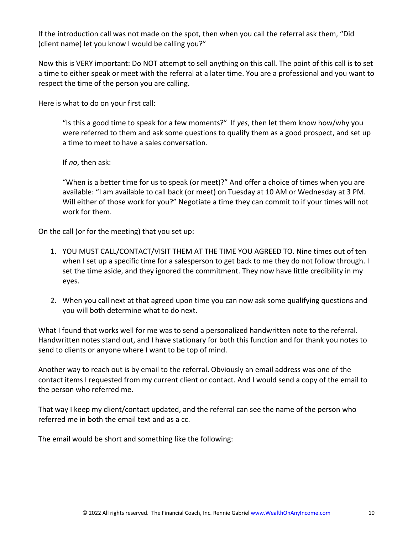If the introduction call was not made on the spot, then when you call the referral ask them, "Did (client name) let you know I would be calling you?"

Now this is VERY important: Do NOT attempt to sell anything on this call. The point of this call is to set a time to either speak or meet with the referral at a later time. You are a professional and you want to respect the time of the person you are calling.

Here is what to do on your first call:

"Is this a good time to speak for a few moments?" If *yes*, then let them know how/why you were referred to them and ask some questions to qualify them as a good prospect, and set up a time to meet to have a sales conversation.

If *no*, then ask:

"When is a better time for us to speak (or meet)?" And offer a choice of times when you are available: "I am available to call back (or meet) on Tuesday at 10 AM or Wednesday at 3 PM. Will either of those work for you?" Negotiate a time they can commit to if your times will not work for them.

On the call (or for the meeting) that you set up:

- 1. YOU MUST CALL/CONTACT/VISIT THEM AT THE TIME YOU AGREED TO. Nine times out of ten when I set up a specific time for a salesperson to get back to me they do not follow through. I set the time aside, and they ignored the commitment. They now have little credibility in my eyes.
- 2. When you call next at that agreed upon time you can now ask some qualifying questions and you will both determine what to do next.

What I found that works well for me was to send a personalized handwritten note to the referral. Handwritten notes stand out, and I have stationary for both this function and for thank you notes to send to clients or anyone where I want to be top of mind.

Another way to reach out is by email to the referral. Obviously an email address was one of the contact items I requested from my current client or contact. And I would send a copy of the email to the person who referred me.

That way I keep my client/contact updated, and the referral can see the name of the person who referred me in both the email text and as a cc.

The email would be short and something like the following: